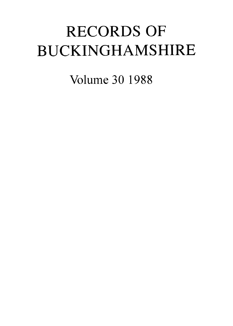# RECORDS OF BUCKINGHAMSHIRE

Volume 30 1988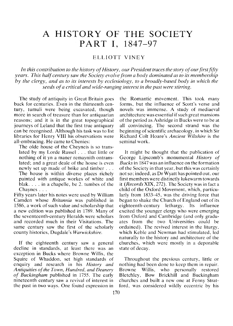# A HISTORY OF THE SOCIETY PART I, 1847-97

## ELLIOTT VINEY

*In this contribution to the history of History, our President traces the story of our first fifty years. This half century suw the Society evolve from a body dominated as to its membership by the clergy, and as to its interests by ecclesiology, to a broadly-based body in which the seeds of a critical and wide-ranging interest in the past were stirring.* 

The study of antiquity in Great Britain goes back for centuries. Even in the thirteenth century, tumuli were being excavated, though more in search of treasure than for antiquarian reasons; and it is in the great topographical journeys of Leland that the first true antiquary can be recognised. Although his task was to list libraries for Henry VIII his observations were all-embracing. He came to Chenies:

The olde house of the Cheyneis is so translated by my Lorde Russel . . . that little or nothing of it yn a maner remaynith ontranslated; and a great deale of the house is even newly set up made of brike and timber . . . The house is within diverse places richely painted with antique workes of white and blak. . . . in a chapelle, be 2. tumbes of the Chaynes . . .

Fifty years later his notes were used by Wiliiam Camden whose *Britannia* was published in 1586, a work of such value and scholarship that a new edition was published in 1789. Many of the seventeenth-century Heralds were scholars and recorded much in their Visitations. The same century saw the first of the scholarly county histories, Dugdale's *Warwickshire.* 

If the eighteenth century saw a general decline in standards, at least there was an exception in Bucks where Browne Willis, the Squire of Whaddon, set high standards of enquiry and research in his *History and Antiquities of the Town, Hundred, and Deanery of Buckingham* published in 1755. The early nineteenth century saw a revival of interest in the past in two ways. One found expression in

the Romantic movement. This took many forms, but the influence of Scott's verse and novels was immense. A study of mediaeval architecture was essential if such great mansions of the period as Ashridge in Bucks were to be at all convincing. The second strand was the beginning of scientific archaeology, in which Sir Richard Colt Hoare's *Ancient Wiltshire* is the seminal work.

It might be thought that the publication of George Lipscomb's monumental *History of Bucks* in *1847* was an influence on the formation of the Society in that year, but this was certainly not so; indeed, as Dr Wyatt has pointed out, our first members were distinctly lukewarm towards it *(RecordsXIX,* 272). The Society was in fact a child of the Oxford Movement, which, particularly from 1833-45, was the driving force that began to shake the Church of England out of its eighteenth-century lethargy. Its influence excited the younger clergy who were emerging from Oxford and Cambridge (and only graduates from the two Universities could be ordained). The revived interest in the liturgy, which Keble and Newman had stimulated, led naturally to the history and architecture of the churches, which were mostly in a deporable state of decay.

Throughout the previous century, little or nothing had been done to keep them in repair. Browne Willis, who personally restored Bletchley, Bow Brickhill and Buckingham churches and built a new one at Fenny Stratford, was considered wildly eccentric by his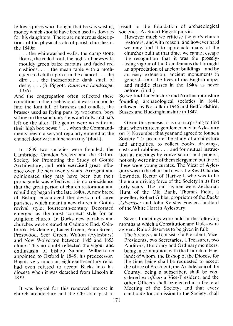fellow squires who thought that he was wasting money which should have been used as dowries for his daughters. There are numerous descriptions of the physical state of parish churches in the 1840s:

. . . the whitewashed walls, the damp stone floors, the ceiled roof, the high stiff pews with mouldy green baize curtains and faded red cushions. . . . the mean table with a motheaten red cloth upon it in the chancel . . . the dirt . . . the indescribable dank smell of decay . . . (S. Piggott, *Ruins in a Landscape,*  1976)

And the congregation often reflected these conditions in their behaviour; it was common to find the font full of brushes and candles, the brasses used as frying pans by workmen, boys sitting on the sanctuary steps and rails, and hats left on the alter. The gentry were no better in their high box pews: '. . . when the Commandments began a servant regularly entered at the chancel door with a luncheon tray' (ibid.).

In 1839 two societies were founded, the Cambridge Camden Society and the Oxford Society for Promoting the Study of Gothic Architecture, and both exercised great influence over the next twenty years. Arrogant and opinionated they may have been but their propaganda was effective; it is no coincidence that the great period of church restoration and rebuilding began in the late 1840s. A new breed of Bishop encouraged the division of large parishes, which meant a new church in Gothic revival style; fourteenth-century Decorated emerged as the most 'correct' style for an Anglican church. In Bucks new parishes and churches were created at Cadmore End, Colnbrook, Hazlemere, Lacey Green, Penn Street, Prestwood, Seer Green, Walton (Aylesbury) and New Wolverton between 1845 and 1853 alone. This no doubt reflected the vigour and enthusiasm of bishop Samuel Wilberforce appointed to Oxford in 1845; his predecessor, Bagot, very much an eighteenth-century relic, had even refused to accept Bucks into his diocese when it was detached from Lincoln in 1839.

It was logical for this renewed interest in church architecture and the Christian past to

result in the foundation of archaeological societies. As Stuart Piggott puts it:

However much we criticise the early church restorers, and with reason, and however hard we may find it to appreciate many of the churches built at that time, we cannot escape the recognition that it was the proselytising vigour of the Camdenians that brought an appreciation of ancient buildings—and by an easy extension, ancient monuments in general-into the lives of the English upper and middle classes in the 1840s as never before. (ibid.)

So we find Lincolnshire and Northamptonshire founding archaeological societies in 1844, followed by Norfolk in 1946 and Bedfordshire, Sussex and Buckinghamshire in 1847.

Given this genesis, it is not surprising to find that, when thirteen gentlemen met in Aylesbury on 14 November that year and agreed to found a Society 'To promote the study of architecture and antiquities, to collect books, drawings, casts and rubbings . . . and for mutual instruction at meetings by conversation and papers', not only were nine of them clergymen but five of these were young curates. The Vicar of Aylesbury was in the chair but it was the Revd Charles Lowndes, Rector of Hartwell, who was to be the main driving force of the Society in its first forty years. The four laymen were Zechariah Hunt of the Old Bank, Thomas Field, a jeweller, Robert Gibbs, proprietor of the *Bucks Advertiser* and John Kersley Fowler, landlord of the White Hart in Aylesbury.

Several meetings were held in the following months at which a Constitution and Rules were agreed. Rule 2 deserves to be given in full:

The Society shall consist of a President, Vice-Presidents, two Secretaries, a Treasurer, two Auditors, Honorary and Ordinary members, being in communion with the Church of England: of whom, the Bishop of the Diocese for the time being shall be requested to accept the office of President; the Archdeacon of the County, being a subscriber, shall be considered ex *officio* a Vice-President: and the other Officers shall be elected at a General Meeting of the Society; and that every candidate for admission to the Society, shall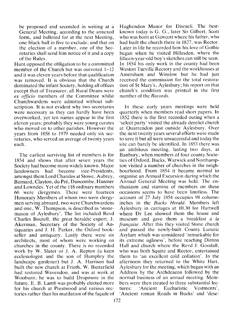be proposed and seconded in writing at a General Meeting, according to the annexed form, and balloted for at the next Meeting, one black ball in five to exclude; and that on the election of a member, one of the Secretaries shall send him notice of it and a copy of the Rules.

Hunt opposed the obligation to be a committed member of the Church but was outvoted 1-12 and it was eleven years before that qualification was removed. It is obvious that the Church dominated the infant Society, holding all offices except that of Treasurer; all Rural Deans were *ex officio* members of the Committee whilst Churchwardens were admitted without subscription. It is not evident why two secretaries were necessary as they can hardly have been overworked, yet ten names appear in the first eleven years; probably they were young curates who moved on to other parishes. However the years from 1858 to 1979 needed only six secretaries, who served an average of twenty years each.

The earliest surviving list of members is for 1854 and shows that after seven years the Society had become more widely known. Major landowners had become vice-Presidents, amongst them Lord Chandos at Stowe, Aubrey, Bernard, Clayton, du Pré, Duncombe, Hanmer and Lowndes. Yet of the 118 ordinary members 66 were clergymen. There were fourteen Honorary Members of whom two were clergymen serving abroard, two were Churchwardens and one, W. Thompson, is described as 'stonemason of Aylesbury'. The list included Revd Charles Boutell, the great heraldic expert, J. Akerman, Secretary of the Society of Antiquaries and J. H. Parker, the Oxford bookseller and antiquary. Lastly there were six architects, most of whom were working on churches in the county. There is no recorded work by W. Slater or J. A. Repton (a keen ecclesiologist and the son of Humphry the landscape gardener) but J. A. Harrison had built the new church at Frieth, W. Butterfield had restored Wavendon, and was at work at Wooburn; he was to build Dropmore in the future. E. B. Lamb was probably elected more for his church at Prestwood and various rectories rather than his mutilation of the façade of Hughenden Manor for Disraeli. The bestknown today is G. G., later Sir Gilbert, Scott who was born at Gawcott where his father, who had built the church there in 1827, was Rector. Later in life he recorded how his love of Gothic began when he visited Hillesden, where the fifteen-year-old boy's sketches can still be seen. In 1854 his only work in the county had been Weston Turville Rectory and the workhouses at Amersham and Winslow but he had just received the commission for the total restoration of St Mary's, Aylesbury; his report on that church's condition was printed in the first number of the *Records.* 

In these early years meetings were held quarterly when members read short papers. In 1852 there is the first recorded outing when a 'select party' visited the already derelict church at Quarrendon just outside Aylesbury. Over the next twenty years several efforts were made to save it but all were unsuccessful and today the site can barely be identified. In 1853 there was an ambitous meeting, lasting two days, at Banbury, when members of four county Societies of Oxford, Bucks, Warwick and Northampton visited a number of churches in the neighbourhood. From 1854 it became normal to organise an Annual Excursion during which the Annual General Meeting was held. The enthusiasm and stamina of members on these occasions seems to have been limitless. The account of 27 July 1854 occupies 98 columninches in the *Bucks Herald.* Members left Aylesbury in carriages at 10.30 for Hartwell where Dr Lee showed them the house and museum and gave them a breakfast  $\dot{a}$  *la frangaise.* After this they visited Stone church and passed the newly-built County Lunatic Asylum which was considered 'remarkable for its extreme ugliness', before reaching Dinton Hall and church where the Revd J. Goodall, who was both Squire and Rector, entertained them to 'an excellent cold collation'. In the afternoon they returned to the White Hart, Aylesbury for the meeting, which began with an Address by the Archdeacon followed by the normal business of an annual meeting. Members were then treated to three substantial lectures: 'Ancient Eucharistic Vestments', 'Ancient roman Roads in Bucks' and 'dese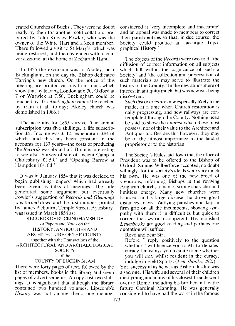crated Churches of Bucks'. They were no doubt ready by then for another cold collation, prepared by John Kersley Fowler, who was the owner of the White Hart and a keen member. There followed a visit to St Mary's, which was being restored, and the day ended with a 'conversazzione' at the home of Zechariah Hunt.

In 1855 the excursion was to Akeley, near Buckingham, on the day the Bishop dedicated Tarring's new church. On the notice of this meeting are printed various train times which show that by leaving London at 6.30, Oxford at 7 or Warwick at 7.50, Buckingham could be reached by 10. (Buckingham cannot be reached by train at all to-day; Akeley church was demolished in 1986.)

The accounts for 1855 survive. The annual subscription was five shillings, a life subscription £5. Income was £112, expenditure £84 of which—and this has been constant in the accounts for 130 years—the costs of producing the *Records* was about half. But it is interesting to see also 'Survey of site of ancient Camp at Cholesbury  $£1.5.0'$  and 'Opening Barrow at Hampden 10s. Od.'

It was in January 1854 that it was decided to begin publishing 'papers' which had already been given as talks at meetings. The title generated some argument but eventually Fowler's suggestion of *Records and Gleanings*  was turned down and the first number, printed by James Pickburn, Temple Street, Aylesbury, was issued in March 1854 as:

### RECORDS OF BUCKINGHAMSHIRE or Papers and Notes on the HISTORY, ANTIQUITIES AND ARCHITECTURE OF THE COUNTY together with the Transactions of the ARCHITECTURAL AND ARCHAEOLOGICAL **SOCIETY** of the

#### COUNTY OF BUCKINGHAM

There were forty pages of text, followed by the list of members, books in the library and seven pages of advertisements. A copy cost two shillings. It is significant that although the library contained two hundred volumes, Lipscomb's *History* was not among them; one member

considered it 'very incomplete and inaccurate' and an appeal was made to members to correct their parish entries so that, in due course, the Society could produce an 'accurate Topographical History .'

The objects of the *Records* were two-fold: 'the diffusion of correct information on all subjects which fall within the cognizance of such a Society' and 'the collection and preservation of such materials as may serve to illustrate the history of the County.' In the new atmosphere of interest in antiquity much that was new was being discovered.

Such discoveries are now especially likely to be made, at a time when Church restoration is daily progressing, and new railways are contemplated through the County. Nothing need be said to show the interest which these must possess, nor of their value to the Architect and Antiquarian. Besides this however, they may be of the utmost importance to the landed proprietor or to the historian.

The Society's Rules laid down that the office of President was to be offered to the Bishop of Oxford. Samuel Wilberforce accepted, no doubt willingly, for the society's ideals were very much his own. He was one of the new breed of vigourous, reforming Bishops in the reviving Anglican church, a man of strong character and limitless energy. Many new churches were founded in his large diocese; he drove great distances to visit 6utlying parishes and kept a firm grip on all the incumbents, showing sympathy with them if in difficulties but quick to correct the lazy or incompetent. His published *Letterbooks* are good reading and perhaps one quotation will suffice:

Revd and dear Sir,

Before I reply positively to the question whether I will licence you to Mr Littlehales' curacy I must ask you to state to me whether you will *not,* whilst resident in the curacy, indulge in Field Sports. *(Letterbooks,* 292.)

Yet, successful as he was as Bishop, his life was a sad one. His wife and several of their children died young and many of his closest friends went over to Rome, including his brother-in-law the future Cardinal Manning. He was generally considered to have had the worst in the famous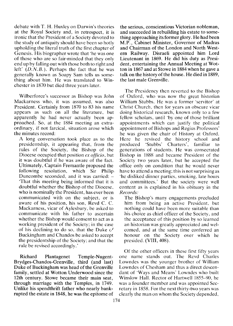debate with T. H. Huxley on Darwin's theories at the Royal Society and, in retrospect, it is ironic that the President of a Society devoted to the study of antiquity should have been so hotly upholding the literal truth of the first chapter of Genesis. His biographer wrote that 'he was one of those who are so fair-minded that they only end up by falling out with those both to right and left'  $(D.N.B.)$ . Perhaps the fact that he was generally known as Soapy Sam tells us something about him. He was translated to Winchester in 1870 but died three years later.

Wilberforce's successor as Bishop was John Mackarness who, it was assumed, was also President. Certainly from 1870 to 83 his name appears as such on all the literature, but apparently he had never actually been approached. So, at the 1884 meeting an extraordinary, if not farcical, situation arose which the minutes record:

A long conversation took place as to the presidentship, it appearing that, from the rules of the Society, the Bishop of the Diocese occupied that position *ex officio*, but it was doubtful if he was aware of the fact. Ultimately, Captain Fremantle proposed the following resolution, which Sir Philip. Duncombe seconded, and it was carried:  $-\frac{1}{x}$ 'That this meeting being informed that it is doubtful whether the Bishop of the Diocese, who is nominally the President, has ever been communicated with on the subject, or is aware of his position, his son, Revd C. C. Mackarness, vicar of Aylesbury, be asked to communicate with his father to ascertain whether the Bishop would consent to act as a working president of the Society; in the case of his declining to do so, that the Duke  $\sigma$ <sup> $f$ </sup> Buckingham and Chandos be asked to accept the presidentship of the Society; and that the rule be revised accordingly.'

Richard Plantagenet Temple-Nugent-Brydges-Chandos-Grenville, third (and last) Duke of Buckingham was head of the Grenville family, settled at Wotton Underwood since the 12th century. Stowe became their main seat, through marriage with the Temples, in 1749. Unlike his spendthrift father who nearly bankrupted the estate in 1848, he was the epitome of

the serious, conscientious Victorian nobleman, and succeeded in rebuilding his estate to something approaching its former glory. He had been M.P., Cabinet Minister, Governor of Madras and Chairman of the London and North Western Railway. Disraeli appointed him Lord Lieutenant in 1869. He did his duty as President, entertaining the Annual Meeting at Wotton in 1867 and at Stowe in 1884 when he gave a talk on the history of the house. He died in 1889, the last male Grenville.

The Presidency then reverted to the Bishop of Oxford, who was now the great historian William Stubbs. He was a former 'servitor' at Christ Church, then for years an obscure vicar doing historical research, known only to a few fellow scholars, until 'by one of those brilliant appointments which can justify the political appointment of Bishops and Regius Professors' he was given the chair of History at Oxford. Here he revived the history school and ~roduced 'Stubbs' Charters'. familiar to generations of students. He was consecrated Bishop in 1888 and became President of the Society two years later, but he accepted the office only on condition that he would never have to attend a meeting; this is not surprising as 'he disliked dinner parties, smoking, late hours and committees.' But the society were well content as is explained in his obituary in the *Records:* 

The Bishop's many engagements precluded him from being an active President, but nothing could have been more suitable than his choice as chief officer of the Society, and the acceptance of this position by so learned an historian was greatly appreciated and welcomed, and at the same time conferred an honour on the Society over which he presided. (VIII, 408).

Of the other officers in these first fifty years one name stands out. The Revd Charles Lowndes was the younger brother of William Lowndes of Chesham and thus a direct descendant of 'Ways and Means' Lowndes who built Winslow Hall. Rector of Hartwell 1855-90, he was a founder member and was appointed Secretary in 1858. For the next thirty-two years was clearly the man on whom the Society depended,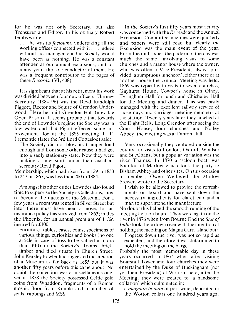for he was not only Secretary, but also Treasurer and Editor. In his obituary Robert Gibbs wrote:

. . . he was its *factotum,* undertaking all the working offices connected with it . . . indeed without his management the Society would have been as nothing. He was a constant attender at our annual excursions, and for many years the sole conductor of them. He was a frequent contributor to the pages of these *Records.* (VI, 438)

It is significant that at his retirement his work was divided between four new officers. The new Secretary (1884-96) was the Revd Randolph Piggott, Rector and Squire of Grendon Underwood. Here he built Grendon Hall (now the Open Prison). It seems probable that towards the end of Lowndes's regime the Society was in low water and that Pigott effected some improvement, for at the 1885 meeting T. F. Fremantle (later the 3rd Lord Cottesloe) said:

The Society did not blow its trumpet loud enough and from some other cause it had got into a sadly stationary state. Now they were making a new start under their excellent secretary Revd Pigott.

Membership, which had risen from 129 in 1853 to 247 in 1867, was less than 200 in 1884.

Amongst his other duties Lowndes also found time to supervise the Society's Collections, later to become the nucleus of the Museum. For a few years a room was rented in Silver Street but later there must have been a move, for an insurance policy has survived from 1863; in this the Phoenix, for an annual premium of 11/6d insured for £100:

Furniture, tables, cases, coins. specimens of various things, curiosities and books (no one article in case of loss to be valued at more than  $£10$ ) in the Society's Rooms, brick, timber and tiled situate in Church Street. John Kersley Fowler had suggested the creation of a Museum as far back as 1855 but it was another fifty years before this came about. No doubt the collection was a miscellaneous one, yet in 1858 the Society possessed Celtic gold coins from Whaddon, fragments of a Roman mosaic tloor from Kimble and a number of seals, rubbings and MSS.

In the Society's first fifty years most activity was concerned with the *Records* and the Annual Excursion. Committee meetings were quarterly and papers were still read but clearly the Excursion was the main event of the year. From the mid sixties the pattern of the day was much the same, involving visits to some churches and a manor house where the owner. who was often a Vice-President, always provided 'a sumptuous luncheon'; either there or at another house the Annual Meeting was held. 1869 was typical with visits to seven churches, Gayhurst House, Cowper's house in Olney, Tyringham Hall for lunch and Chicheley Hall for the Meeting and dinner. This was easily managed with the excellent railway service of those days and carriages meeting members at the station. Twenty years later they lunched at the Eight Bells, Long Crendon after seeing the Court House, four churches and Notley Abbey; the meeting was at Dinton Hall.

Very occasionally they ventured outside the county for visits to London, Oxford, Windsor and St Albans, but a popular variation was the river Thames. In 1870 a 'saloon boat' was boarded at Marlow which took the party to Bisham Abbey and other sites. On this occasion a member, Owen Wethered the Marlow brewer. wrote to the Secretarv:

I wish to be allowed to provide the refreshments on board and have sent down the necessary ingredients for claret cup and a man to superintend the manufacture.

No doubt this helped the smooth running of the meeting held on board. They were again on the river in 1876 when from Bourne End the *Star of India* took them down river with the intention of holding the meeting on Magna Carta island but:

Progress down the river was not so rapid as expected, and therefore it was determined to hold the meeting on the barge.

Probably the most memorable day in these years occurred in 1867 when after visiting Boarstall Tower and four churches they were entertained by the Duke of Buckingham (not yet their President) at Wotton; here, after the Meeting, they were treated to 'a handsome collation' which culminated in:

a *magnum honum* of port wine, deposited in the Wotton cellars one hundred years ago,